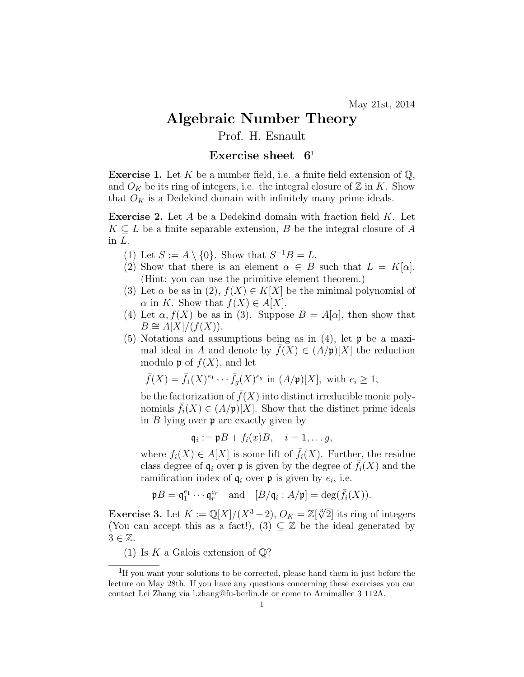## Algebraic Number Theory

## Prof. H. Esnault

## Exercise sheet  $6<sup>1</sup>$

**Exercise 1.** Let K be a number field, i.e. a finite field extension of  $\mathbb{Q}$ , and  $O_K$  be its ring of integers, i.e. the integral closure of  $\mathbb Z$  in K. Show that  $O_K$  is a Dedekind domain with infinitely many prime ideals.

**Exercise 2.** Let A be a Dedekind domain with fraction field  $K$ . Let  $K \subseteq L$  be a finite separable extension, B be the integral closure of A in L.

- (1) Let  $S := A \setminus \{0\}$ . Show that  $S^{-1}B = L$ .
- (2) Show that there is an element  $\alpha \in B$  such that  $L = K[\alpha]$ . (Hint: you can use the primitive element theorem.)
- (3) Let  $\alpha$  be as in (2),  $f(X) \in K[X]$  be the minimal polynomial of  $\alpha$  in K. Show that  $f(X) \in A[X]$ .
- (4) Let  $\alpha$ ,  $f(X)$  be as in (3). Suppose  $B = A[\alpha]$ , then show that  $B \cong A[X]/(f(X)).$
- $(5)$  Notations and assumptions being as in  $(4)$ , let **p** be a maximal ideal in A and denote by  $f(X) \in (A/\mathfrak{p})[X]$  the reduction modulo **p** of  $f(X)$ , and let

$$
\bar{f}(X) = \bar{f}_1(X)^{e_1} \cdots \bar{f}_g(X)^{e_g} \text{ in } (A/\mathfrak{p})[X], \text{ with } e_i \ge 1,
$$

be the factorization of  $\bar{f}(X)$  into distinct irreducible monic polynomials  $\bar{f}_i(X) \in (A/\mathfrak{p})[X]$ . Show that the distinct prime ideals in  $B$  lying over  $\mathfrak p$  are exactly given by

$$
\mathfrak{q}_i := \mathfrak{p}B + f_i(x)B, \quad i = 1, \ldots g,
$$

where  $f_i(X) \in A[X]$  is some lift of  $\bar{f}_i(X)$ . Further, the residue class degree of  $\mathfrak{q}_i$  over **p** is given by the degree of  $\overline{f}_i(X)$  and the ramification index of  $q_i$  over  $p$  is given by  $e_i$ , i.e.

$$
\mathfrak{p}B = \mathfrak{q}_1^{e_1} \cdots \mathfrak{q}_r^{e_r}
$$
 and  $[B/\mathfrak{q}_i : A/\mathfrak{p}] = \deg(\bar{f}_i(X)).$ 

**Exercise 3.** Let  $K := \mathbb{Q}[X]/(X^3 - 2)$ ,  $O_K = \mathbb{Z}[\sqrt[3]{2}]$  its ring of integers (You can accept this as a fact!),  $(3) \subseteq \mathbb{Z}$  be the ideal generated by  $3 \in \mathbb{Z}$ .

(1) Is K a Galois extension of  $\mathbb{Q}$ ?

<sup>&</sup>lt;sup>1</sup>If you want your solutions to be corrected, please hand them in just before the lecture on May 28th. If you have any questions concerning these exercises you can contact Lei Zhang via l.zhang@fu-berlin.de or come to Arnimallee 3 112A.